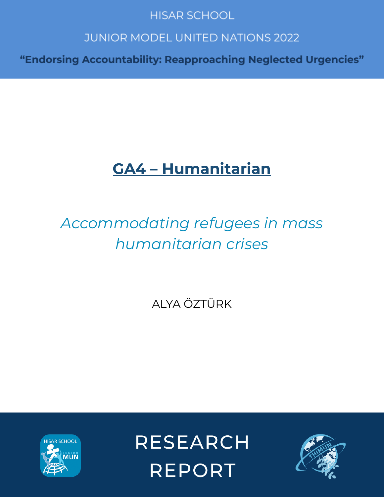## **HISAR SCHOOL**

## **JUNIOR MODEL UNITED NATIONS 2022**

"Endorsing Accountability: Reapproaching Neglected Urgencies"

# **GA4 – Humanitarian**

# *Accommodating refugees in mass humanitarian crises*

ALYA ÖZTÜRK



**RESEARCH REPORT** 

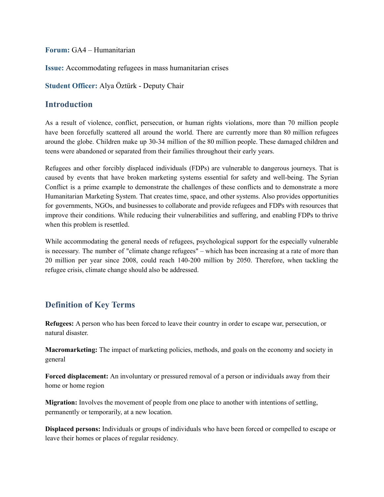**Forum:** GA4 – Humanitarian

**Issue:** Accommodating refugees in mass humanitarian crises

**Student Officer:** Alya Öztürk - Deputy Chair

#### **Introduction**

As a result of violence, conflict, persecution, or human rights violations, more than 70 million people have been forcefully scattered all around the world. There are currently more than 80 million refugees around the globe. Children make up 30-34 million of the 80 million people. These damaged children and teens were abandoned or separated from their families throughout their early years.

Refugees and other forcibly displaced individuals (FDPs) are vulnerable to dangerous journeys. That is caused by events that have broken marketing systems essential for safety and well-being. The Syrian Conflict is a prime example to demonstrate the challenges of these conflicts and to demonstrate a more Humanitarian Marketing System. That creates time, space, and other systems. Also provides opportunities for governments, NGOs, and businesses to collaborate and provide refugees and FDPs with resources that improve their conditions. While reducing their vulnerabilities and suffering, and enabling FDPs to thrive when this problem is resettled.

While accommodating the general needs of refugees, psychological support for the especially vulnerable is necessary. The number of "climate change refugees" – which has been increasing at a rate of more than 20 million per year since 2008, could reach 140-200 million by 2050. Therefore, when tackling the refugee crisis, climate change should also be addressed.

### **Definition of Key Terms**

**Refugees:** A person who has been forced to leave their country in order to escape war, persecution, or natural disaster.

**Macromarketing:** The impact of marketing policies, methods, and goals on the economy and society in general

**Forced displacement:** An involuntary or pressured removal of a person or individuals away from their home or home region

**Migration:** Involves the movement of people from one place to another with intentions of settling, permanently or temporarily, at a new location.

**Displaced persons:** Individuals or groups of individuals who have been forced or compelled to escape or leave their homes or places of regular residency.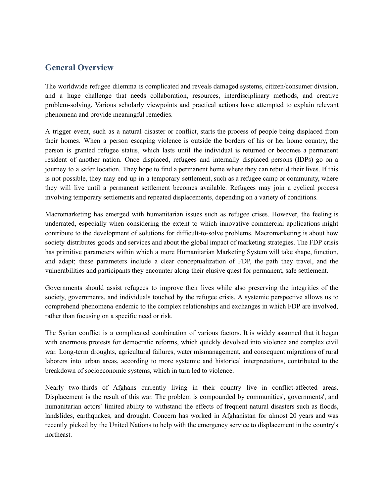#### **General Overview**

The worldwide refugee dilemma is complicated and reveals damaged systems, citizen/consumer division, and a huge challenge that needs collaboration, resources, interdisciplinary methods, and creative problem-solving. Various scholarly viewpoints and practical actions have attempted to explain relevant phenomena and provide meaningful remedies.

A trigger event, such as a natural disaster or conflict, starts the process of people being displaced from their homes. When a person escaping violence is outside the borders of his or her home country, the person is granted refugee status, which lasts until the individual is returned or becomes a permanent resident of another nation. Once displaced, refugees and internally displaced persons (IDPs) go on a journey to a safer location. They hope to find a permanent home where they can rebuild their lives. If this is not possible, they may end up in a temporary settlement, such as a refugee camp or community, where they will live until a permanent settlement becomes available. Refugees may join a cyclical process involving temporary settlements and repeated displacements, depending on a variety of conditions.

Macromarketing has emerged with humanitarian issues such as refugee crises. However, the feeling is underrated, especially when considering the extent to which innovative commercial applications might contribute to the development of solutions for difficult-to-solve problems. Macromarketing is about how society distributes goods and services and about the global impact of marketing strategies. The FDP crisis has primitive parameters within which a more Humanitarian Marketing System will take shape, function, and adapt; these parameters include a clear conceptualization of FDP, the path they travel, and the vulnerabilities and participants they encounter along their elusive quest for permanent, safe settlement.

Governments should assist refugees to improve their lives while also preserving the integrities of the society, governments, and individuals touched by the refugee crisis. A systemic perspective allows us to comprehend phenomena endemic to the complex relationships and exchanges in which FDP are involved, rather than focusing on a specific need or risk.

The Syrian conflict is a complicated combination of various factors. It is widely assumed that it began with enormous protests for democratic reforms, which quickly devolved into violence and complex civil war. Long-term droughts, agricultural failures, water mismanagement, and consequent migrations of rural laborers into urban areas, according to more systemic and historical interpretations, contributed to the breakdown of socioeconomic systems, which in turn led to violence.

Nearly two-thirds of Afghans currently living in their country live in conflict-affected areas. Displacement is the result of this war. The problem is compounded by communities', governments', and humanitarian actors' limited ability to withstand the effects of frequent natural disasters such as floods, landslides, earthquakes, and drought. Concern has worked in Afghanistan for almost 20 years and was recently picked by the United Nations to help with the emergency service to displacement in the country's northeast.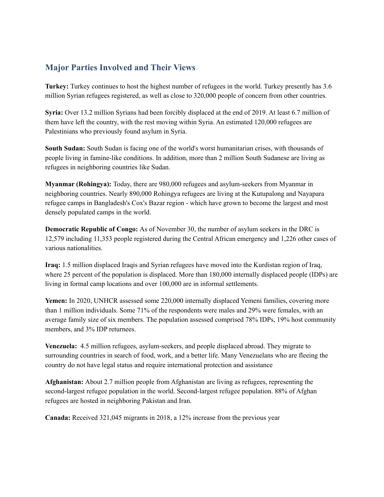### **Major Parties Involved and Their Views**

**Turkey:** Turkey continues to host the highest number of refugees in the world. Turkey presently has 3.6 million Syrian refugees registered, as well as close to 320,000 people of concern from other countries.

**Syria:** Over 13.2 million Syrians had been forcibly displaced at the end of 2019. At least 6.7 million of them have left the country, with the rest moving within Syria. An estimated 120,000 refugees are Palestinians who previously found asylum in Syria.

**South Sudan:** South Sudan is facing one of the world's worst humanitarian crises, with thousands of people living in famine-like conditions. In addition, more than 2 million South Sudanese are living as refugees in neighboring countries like Sudan.

**Myanmar (Rohingya):** Today, there are 980,000 refugees and asylum-seekers from Myanmar in neighboring countries. Nearly 890,000 Rohingya refugees are living at the Kutupalong and Nayapara refugee camps in Bangladesh's Cox's Bazar region - which have grown to become the largest and most densely populated camps in the world.

**Democratic Republic of Congo:** As of November 30, the number of asylum seekers in the DRC is 12,579 including 11,353 people registered during the Central African emergency and 1,226 other cases of various nationalities.

**Iraq:** 1.5 million displaced Iraqis and Syrian refugees have moved into the Kurdistan region of Iraq, where 25 percent of the population is displaced. More than 180,000 internally displaced people (IDPs) are living in formal camp locations and over 100,000 are in informal settlements.

**Yemen:** In 2020, UNHCR assessed some 220,000 internally displaced Yemeni families, covering more than 1 million individuals. Some 71% of the respondents were males and 29% were females, with an average family size of six members. The population assessed comprised 78% IDPs, 19% host community members, and 3% IDP returnees.

**Venezuela:** 4.5 million refugees, asylum-seekers, and people displaced abroad. They migrate to surrounding countries in search of food, work, and a better life. Many Venezuelans who are fleeing the country do not have legal status and require international protection and assistance

**Afghanistan:** About 2.7 million people from Afghanistan are living as refugees, representing the second-largest refugee population in the world. Second-largest refugee population. 88% of Afghan refugees are hosted in neighboring Pakistan and Iran.

**Canada:** Received 321,045 migrants in 2018, a 12% increase from the previous year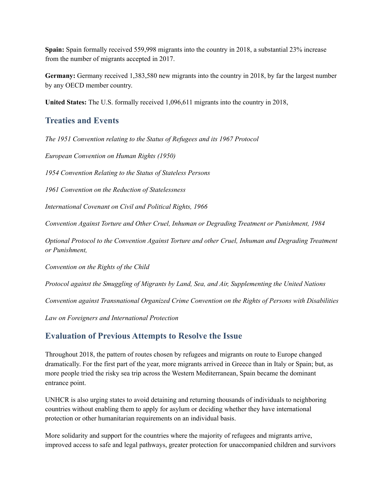**Spain:** Spain formally received 559,998 migrants into the country in 2018, a substantial 23% increase from the number of migrants accepted in 2017.

**Germany:** Germany received 1,383,580 new migrants into the country in 2018, by far the largest number by any OECD member country.

**United States:** The U.S. formally received 1,096,611 migrants into the country in 2018,

#### **Treaties and Events**

*The 1951 Convention relating to the Status of Refugees and its 1967 Protocol*

*European Convention on Human Rights (1950)*

*1954 Convention Relating to the Status of Stateless Persons*

*1961 Convention on the Reduction of Statelessness*

*International Covenant on Civil and Political Rights, 1966*

*Convention Against Torture and Other Cruel, Inhuman or Degrading Treatment or Punishment, 1984*

*Optional Protocol to the Convention Against Torture and other Cruel, Inhuman and Degrading Treatment or Punishment,*

*Convention on the Rights of the Child*

*Protocol against the Smuggling of Migrants by Land, Sea, and Air, Supplementing the United Nations*

*Convention against Transnational Organized Crime Convention on the Rights of Persons with Disabilities*

*Law on Foreigners and International Protection*

#### **Evaluation of Previous Attempts to Resolve the Issue**

Throughout 2018, the pattern of routes chosen by refugees and migrants on route to Europe changed dramatically. For the first part of the year, more migrants arrived in Greece than in Italy or Spain; but, as more people tried the risky sea trip across the Western Mediterranean, Spain became the dominant entrance point.

UNHCR is also urging states to avoid detaining and returning thousands of individuals to neighboring countries without enabling them to apply for asylum or deciding whether they have international protection or other humanitarian requirements on an individual basis.

More solidarity and support for the countries where the majority of refugees and migrants arrive, improved access to safe and legal pathways, greater protection for unaccompanied children and survivors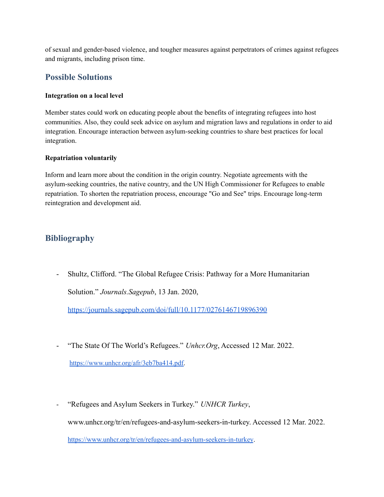of sexual and gender-based violence, and tougher measures against perpetrators of crimes against refugees and migrants, including prison time.

#### **Possible Solutions**

#### **Integration on a local level**

Member states could work on educating people about the benefits of integrating refugees into host communities. Also, they could seek advice on asylum and migration laws and regulations in order to aid integration. Encourage interaction between asylum-seeking countries to share best practices for local integration.

#### **Repatriation voluntarily**

Inform and learn more about the condition in the origin country. Negotiate agreements with the asylum-seeking countries, the native country, and the UN High Commissioner for Refugees to enable repatriation. To shorten the repatriation process, encourage "Go and See" trips. Encourage long-term reintegration and development aid.

#### **Bibliography**

- Shultz, Clifford. "The Global Refugee Crisis: Pathway for a More Humanitarian Solution." *Journals.Sagepub*, 13 Jan. 2020,

<https://journals.sagepub.com/doi/full/10.1177/0276146719896390>

- "The State Of The World's Refugees." *Unhcr.Org*, Accessed 12 Mar. 2022.

[https://www.unhcr.org/afr/3eb7ba414.pdf.](https://www.unhcr.org/afr/3eb7ba414.pdf)

- "Refugees and Asylum Seekers in Turkey." *UNHCR Turkey*, www.unhcr.org/tr/en/refugees-and-asylum-seekers-in-turkey. Accessed 12 Mar. 2022. <https://www.unhcr.org/tr/en/refugees-and-asylum-seekers-in-turkey>.